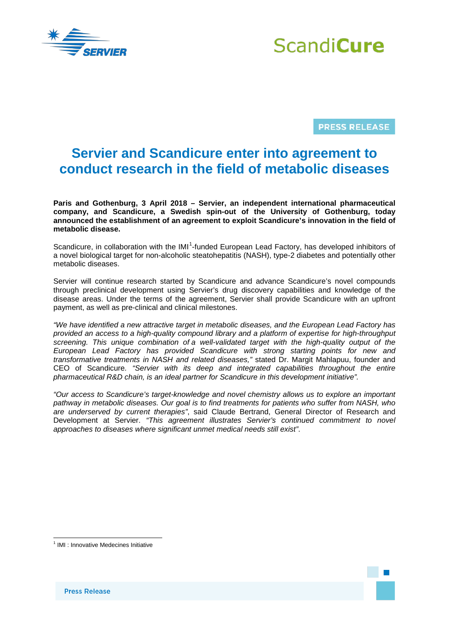



**PRESS RELEASE** 

## **Servier and Scandicure enter into agreement to conduct research in the field of metabolic diseases**

**Paris and Gothenburg, 3 April 2018 – Servier, an independent international pharmaceutical company, and Scandicure, a Swedish spin-out of the University of Gothenburg, today announced the establishment of an agreement to exploit Scandicure's innovation in the field of metabolic disease.**

Scandicure, in collaboration with the IMI<sup>[1](#page-0-0)</sup>-funded European Lead Factory, has developed inhibitors of a novel biological target for non-alcoholic steatohepatitis (NASH), type-2 diabetes and potentially other metabolic diseases.

Servier will continue research started by Scandicure and advance Scandicure's novel compounds through preclinical development using Servier's drug discovery capabilities and knowledge of the disease areas. Under the terms of the agreement, Servier shall provide Scandicure with an upfront payment, as well as pre-clinical and clinical milestones.

*"We have identified a new attractive target in metabolic diseases, and the European Lead Factory has provided an access to a high-quality compound library and a platform of expertise for high-throughput screening. This unique combination of a well-validated target with the high-quality output of the European Lead Factory has provided Scandicure with strong starting points for new and transformative treatments in NASH and related diseases,"* stated Dr. Margit Mahlapuu, founder and CEO of Scandicure*. "Servier with its deep and integrated capabilities throughout the entire pharmaceutical R&D chain, is an ideal partner for Scandicure in this development initiative".*

*"Our access to Scandicure's target-knowledge and novel chemistry allows us to explore an important pathway in metabolic diseases. Our goal is to find treatments for patients who suffer from NASH, who are underserved by current therapies"*, said Claude Bertrand, General Director of Research and Development at Servier. *"This agreement illustrates Servier's continued commitment to novel approaches to diseases where significant unmet medical needs still exist"*.

<span id="page-0-0"></span><sup>&</sup>lt;sup>1</sup> IMI : Innovative Medecines Initiative